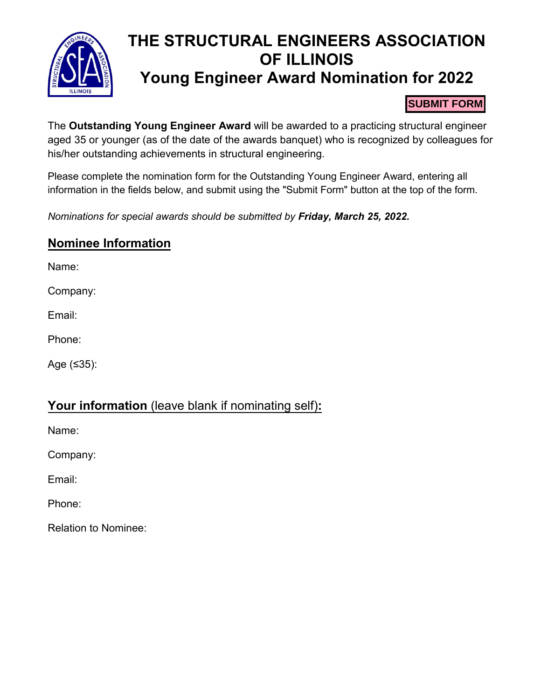

# **THE STRUCTURAL ENGINEERS ASSOCIATION OF ILLINOIS Young Engineer Award Nomination for 2022**

#### **SUBMIT FORM**

The **Outstanding Young Engineer Award** will be awarded to a practicing structural engineer aged 35 or younger (as of the date of the awards banquet) who is recognized by colleagues for his/her outstanding achievements in structural engineering.

Please complete the nomination form for the Outstanding Young Engineer Award, entering all information in the fields below, and submit using the "Submit Form" button at the top of the form.

*Nominations for special awards should be submitted by Friday, March 25, 2022.*

### **Nominee Information**

Name:

Company:

Email:

Phone:

Age (≤35):

### **Your information** (leave blank if nominating self)**:**

Name:

Company:

Email:

Phone:

Relation to Nominee: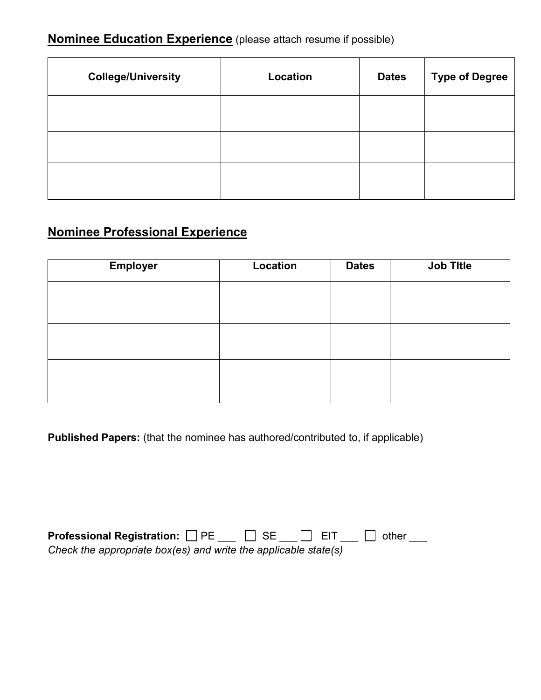## **Nominee Education Experience** (please attach resume if possible)

| <b>College/University</b> | Location | <b>Dates</b> | <b>Type of Degree</b> |
|---------------------------|----------|--------------|-----------------------|
|                           |          |              |                       |
|                           |          |              |                       |
|                           |          |              |                       |

## **Nominee Professional Experience**

| <b>Employer</b> | Location | <b>Dates</b> | <b>Job Title</b> |
|-----------------|----------|--------------|------------------|
|                 |          |              |                  |
|                 |          |              |                  |
|                 |          |              |                  |
|                 |          |              |                  |
|                 |          |              |                  |
|                 |          |              |                  |

**Published Papers:** (that the nominee has authored/contributed to, if applicable)

| <b>Professional Registration:</b> □ PE                          | $\Box$ SE $\Box$ EIT | $\Box$ other |
|-----------------------------------------------------------------|----------------------|--------------|
| Check the appropriate box(es) and write the applicable state(s) |                      |              |